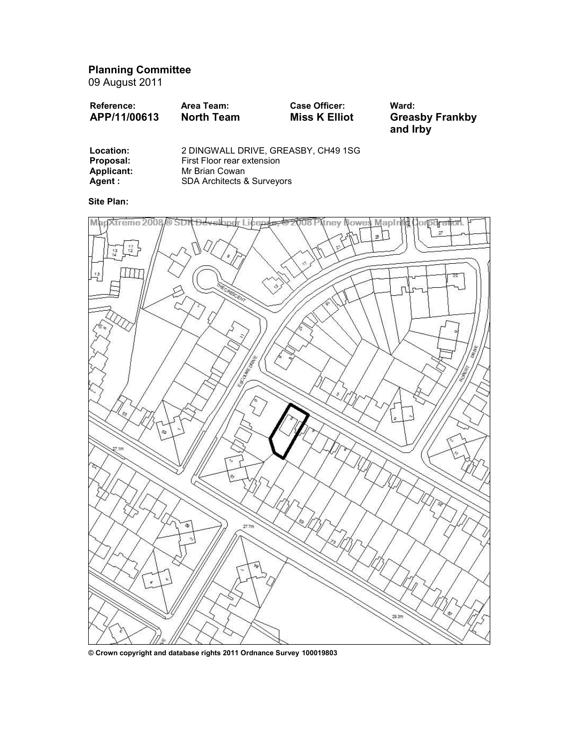Planning Committee

09 August 2011

| <b>Reference:</b> | Area Team:        | <b>Case Officer:</b> | Ward:                              |
|-------------------|-------------------|----------------------|------------------------------------|
| APP/11/00613      | <b>North Team</b> | <b>Miss K Elliot</b> | <b>Greasby Frankby</b><br>and Irby |
|                   |                   |                      |                                    |

| Location:  | 2 DINGWALL DRIVE, GREASBY, CH49 1SG   |
|------------|---------------------------------------|
| Proposal:  | First Floor rear extension            |
| Applicant: | Mr Brian Cowan                        |
| Agent :    | <b>SDA Architects &amp; Surveyors</b> |

Site Plan:



© Crown copyright and database rights 2011 Ordnance Survey 100019803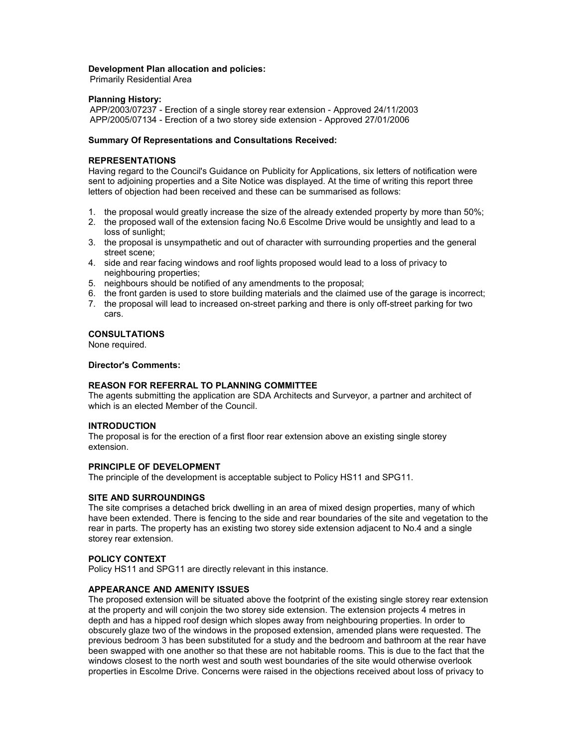## Development Plan allocation and policies:

Primarily Residential Area

## Planning History:

APP/2003/07237 - Erection of a single storey rear extension - Approved 24/11/2003 APP/2005/07134 - Erection of a two storey side extension - Approved 27/01/2006

## Summary Of Representations and Consultations Received:

# REPRESENTATIONS

Having regard to the Council's Guidance on Publicity for Applications, six letters of notification were sent to adjoining properties and a Site Notice was displayed. At the time of writing this report three letters of objection had been received and these can be summarised as follows:

- 1. the proposal would greatly increase the size of the already extended property by more than 50%;
- 2. the proposed wall of the extension facing No.6 Escolme Drive would be unsightly and lead to a loss of sunlight;
- 3. the proposal is unsympathetic and out of character with surrounding properties and the general street scene;
- 4. side and rear facing windows and roof lights proposed would lead to a loss of privacy to neighbouring properties;
- 5. neighbours should be notified of any amendments to the proposal;
- 6. the front garden is used to store building materials and the claimed use of the garage is incorrect;
- 7. the proposal will lead to increased on-street parking and there is only off-street parking for two cars.

# CONSULTATIONS

None required.

## Director's Comments:

# REASON FOR REFERRAL TO PLANNING COMMITTEE

The agents submitting the application are SDA Architects and Surveyor, a partner and architect of which is an elected Member of the Council.

## INTRODUCTION

The proposal is for the erection of a first floor rear extension above an existing single storey extension.

#### PRINCIPLE OF DEVELOPMENT

The principle of the development is acceptable subject to Policy HS11 and SPG11.

### SITE AND SURROUNDINGS

The site comprises a detached brick dwelling in an area of mixed design properties, many of which have been extended. There is fencing to the side and rear boundaries of the site and vegetation to the rear in parts. The property has an existing two storey side extension adjacent to No.4 and a single storey rear extension.

#### POLICY CONTEXT

Policy HS11 and SPG11 are directly relevant in this instance.

#### APPEARANCE AND AMENITY ISSUES

The proposed extension will be situated above the footprint of the existing single storey rear extension at the property and will conjoin the two storey side extension. The extension projects 4 metres in depth and has a hipped roof design which slopes away from neighbouring properties. In order to obscurely glaze two of the windows in the proposed extension, amended plans were requested. The previous bedroom 3 has been substituted for a study and the bedroom and bathroom at the rear have been swapped with one another so that these are not habitable rooms. This is due to the fact that the windows closest to the north west and south west boundaries of the site would otherwise overlook properties in Escolme Drive. Concerns were raised in the objections received about loss of privacy to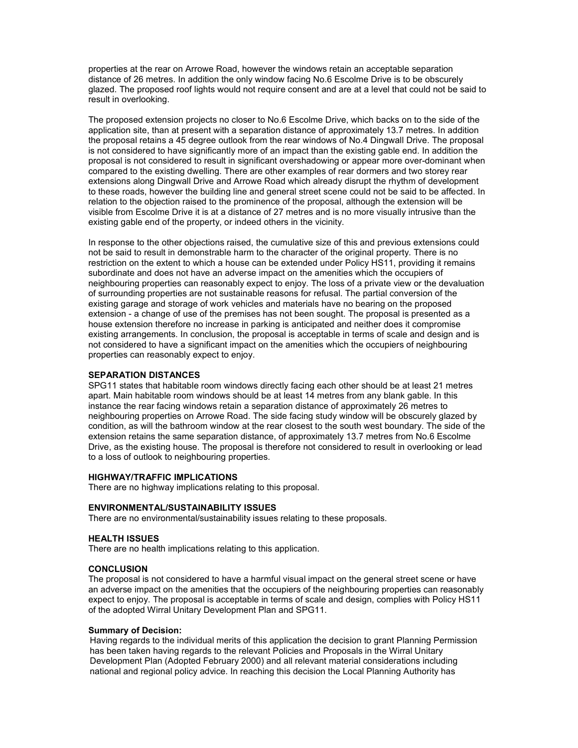properties at the rear on Arrowe Road, however the windows retain an acceptable separation distance of 26 metres. In addition the only window facing No.6 Escolme Drive is to be obscurely glazed. The proposed roof lights would not require consent and are at a level that could not be said to result in overlooking.

The proposed extension projects no closer to No.6 Escolme Drive, which backs on to the side of the application site, than at present with a separation distance of approximately 13.7 metres. In addition the proposal retains a 45 degree outlook from the rear windows of No.4 Dingwall Drive. The proposal is not considered to have significantly more of an impact than the existing gable end. In addition the proposal is not considered to result in significant overshadowing or appear more over-dominant when compared to the existing dwelling. There are other examples of rear dormers and two storey rear extensions along Dingwall Drive and Arrowe Road which already disrupt the rhythm of development to these roads, however the building line and general street scene could not be said to be affected. In relation to the objection raised to the prominence of the proposal, although the extension will be visible from Escolme Drive it is at a distance of 27 metres and is no more visually intrusive than the existing gable end of the property, or indeed others in the vicinity.

In response to the other objections raised, the cumulative size of this and previous extensions could not be said to result in demonstrable harm to the character of the original property. There is no restriction on the extent to which a house can be extended under Policy HS11, providing it remains subordinate and does not have an adverse impact on the amenities which the occupiers of neighbouring properties can reasonably expect to enjoy. The loss of a private view or the devaluation of surrounding properties are not sustainable reasons for refusal. The partial conversion of the existing garage and storage of work vehicles and materials have no bearing on the proposed extension - a change of use of the premises has not been sought. The proposal is presented as a house extension therefore no increase in parking is anticipated and neither does it compromise existing arrangements. In conclusion, the proposal is acceptable in terms of scale and design and is not considered to have a significant impact on the amenities which the occupiers of neighbouring properties can reasonably expect to enjoy.

# SEPARATION DISTANCES

SPG11 states that habitable room windows directly facing each other should be at least 21 metres apart. Main habitable room windows should be at least 14 metres from any blank gable. In this instance the rear facing windows retain a separation distance of approximately 26 metres to neighbouring properties on Arrowe Road. The side facing study window will be obscurely glazed by condition, as will the bathroom window at the rear closest to the south west boundary. The side of the extension retains the same separation distance, of approximately 13.7 metres from No.6 Escolme Drive, as the existing house. The proposal is therefore not considered to result in overlooking or lead to a loss of outlook to neighbouring properties.

## HIGHWAY/TRAFFIC IMPLICATIONS

There are no highway implications relating to this proposal.

#### ENVIRONMENTAL/SUSTAINABILITY ISSUES

There are no environmental/sustainability issues relating to these proposals.

### HEALTH ISSUES

There are no health implications relating to this application.

#### **CONCLUSION**

The proposal is not considered to have a harmful visual impact on the general street scene or have an adverse impact on the amenities that the occupiers of the neighbouring properties can reasonably expect to enjoy. The proposal is acceptable in terms of scale and design, complies with Policy HS11 of the adopted Wirral Unitary Development Plan and SPG11.

### Summary of Decision:

Having regards to the individual merits of this application the decision to grant Planning Permission has been taken having regards to the relevant Policies and Proposals in the Wirral Unitary Development Plan (Adopted February 2000) and all relevant material considerations including national and regional policy advice. In reaching this decision the Local Planning Authority has